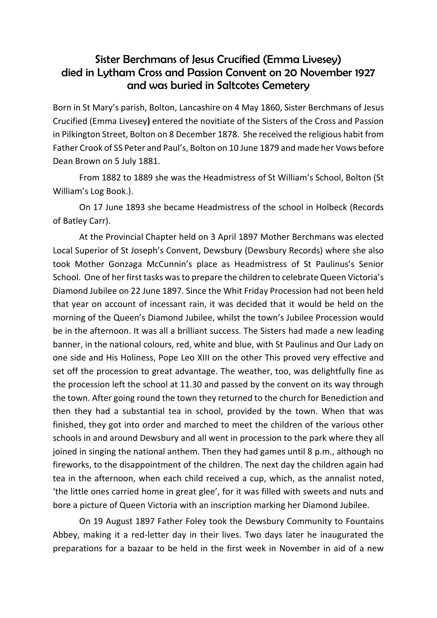## Sister Berchmans of Jesus Crucified (Emma Livesey) died in Lytham Cross and Passion Convent on 20 November 1927 and was buried in Saltcotes Cemetery

Born in St Mary's parish, Bolton, Lancashire on 4 May 1860, Sister Berchmans of Jesus Crucified (Emma Livesey**)** entered the novitiate of the Sisters of the Cross and Passion in Pilkington Street, Bolton on 8 December 1878. She received the religious habit from Father Crook of SS Peter and Paul's, Bolton on 10 June 1879 and made her Vows before Dean Brown on 5 July 1881.

From 1882 to 1889 she was the Headmistress of St William's School, Bolton (St William's Log Book.).

On 17 June 1893 she became Headmistress of the school in Holbeck (Records of Batley Carr).

At the Provincial Chapter held on 3 April 1897 Mother Berchmans was elected Local Superior of St Joseph's Convent, Dewsbury (Dewsbury Records) where she also took Mother Gonzaga McCunnin's place as Headmistress of St Paulinus's Senior School. One of her first tasks was to prepare the children to celebrate Queen Victoria's Diamond Jubilee on 22 June 1897. Since the Whit Friday Procession had not been held that year on account of incessant rain, it was decided that it would be held on the morning of the Queen's Diamond Jubilee, whilst the town's Jubilee Procession would be in the afternoon. It was all a brilliant success. The Sisters had made a new leading banner, in the national colours, red, white and blue, with St Paulinus and Our Lady on one side and His Holiness, Pope Leo XIII on the other This proved very effective and set off the procession to great advantage. The weather, too, was delightfully fine as the procession left the school at 11.30 and passed by the convent on its way through the town. After going round the town they returned to the church for Benediction and then they had a substantial tea in school, provided by the town. When that was finished, they got into order and marched to meet the children of the various other schools in and around Dewsbury and all went in procession to the park where they all joined in singing the national anthem. Then they had games until 8 p.m., although no fireworks, to the disappointment of the children. The next day the children again had tea in the afternoon, when each child received a cup, which, as the annalist noted, 'the little ones carried home in great glee', for it was filled with sweets and nuts and bore a picture of Queen Victoria with an inscription marking her Diamond Jubilee.

On 19 August 1897 Father Foley took the Dewsbury Community to Fountains Abbey, making it a red-letter day in their lives. Two days later he inaugurated the preparations for a bazaar to be held in the first week in November in aid of a new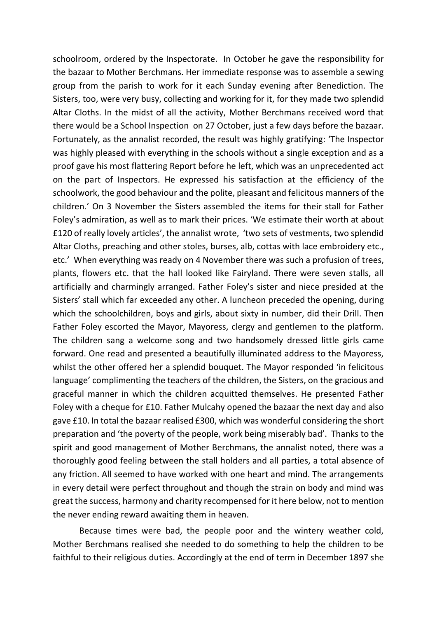schoolroom, ordered by the Inspectorate. In October he gave the responsibility for the bazaar to Mother Berchmans. Her immediate response was to assemble a sewing group from the parish to work for it each Sunday evening after Benediction. The Sisters, too, were very busy, collecting and working for it, for they made two splendid Altar Cloths. In the midst of all the activity, Mother Berchmans received word that there would be a School Inspection on 27 October, just a few days before the bazaar. Fortunately, as the annalist recorded, the result was highly gratifying: 'The Inspector was highly pleased with everything in the schools without a single exception and as a proof gave his most flattering Report before he left, which was an unprecedented act on the part of Inspectors. He expressed his satisfaction at the efficiency of the schoolwork, the good behaviour and the polite, pleasant and felicitous manners of the children.' On 3 November the Sisters assembled the items for their stall for Father Foley's admiration, as well as to mark their prices. 'We estimate their worth at about £120 of really lovely articles', the annalist wrote, 'two sets of vestments, two splendid Altar Cloths, preaching and other stoles, burses, alb, cottas with lace embroidery etc., etc.' When everything was ready on 4 November there was such a profusion of trees, plants, flowers etc. that the hall looked like Fairyland. There were seven stalls, all artificially and charmingly arranged. Father Foley's sister and niece presided at the Sisters' stall which far exceeded any other. A luncheon preceded the opening, during which the schoolchildren, boys and girls, about sixty in number, did their Drill. Then Father Foley escorted the Mayor, Mayoress, clergy and gentlemen to the platform. The children sang a welcome song and two handsomely dressed little girls came forward. One read and presented a beautifully illuminated address to the Mayoress, whilst the other offered her a splendid bouquet. The Mayor responded 'in felicitous language' complimenting the teachers of the children, the Sisters, on the gracious and graceful manner in which the children acquitted themselves. He presented Father Foley with a cheque for £10. Father Mulcahy opened the bazaar the next day and also gave £10. In total the bazaar realised £300, which was wonderful considering the short preparation and 'the poverty of the people, work being miserably bad'. Thanks to the spirit and good management of Mother Berchmans, the annalist noted, there was a thoroughly good feeling between the stall holders and all parties, a total absence of any friction. All seemed to have worked with one heart and mind. The arrangements in every detail were perfect throughout and though the strain on body and mind was great the success, harmony and charity recompensed for it here below, not to mention the never ending reward awaiting them in heaven.

Because times were bad, the people poor and the wintery weather cold, Mother Berchmans realised she needed to do something to help the children to be faithful to their religious duties. Accordingly at the end of term in December 1897 she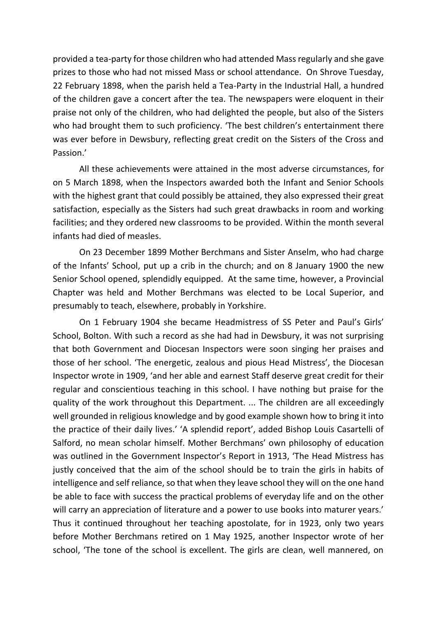provided a tea-party for those children who had attended Mass regularly and she gave prizes to those who had not missed Mass or school attendance. On Shrove Tuesday, 22 February 1898, when the parish held a Tea-Party in the Industrial Hall, a hundred of the children gave a concert after the tea. The newspapers were eloquent in their praise not only of the children, who had delighted the people, but also of the Sisters who had brought them to such proficiency. 'The best children's entertainment there was ever before in Dewsbury, reflecting great credit on the Sisters of the Cross and Passion.'

All these achievements were attained in the most adverse circumstances, for on 5 March 1898, when the Inspectors awarded both the Infant and Senior Schools with the highest grant that could possibly be attained, they also expressed their great satisfaction, especially as the Sisters had such great drawbacks in room and working facilities; and they ordered new classrooms to be provided. Within the month several infants had died of measles.

On 23 December 1899 Mother Berchmans and Sister Anselm, who had charge of the Infants' School, put up a crib in the church; and on 8 January 1900 the new Senior School opened, splendidly equipped. At the same time, however, a Provincial Chapter was held and Mother Berchmans was elected to be Local Superior, and presumably to teach, elsewhere, probably in Yorkshire.

On 1 February 1904 she became Headmistress of SS Peter and Paul's Girls' School, Bolton. With such a record as she had had in Dewsbury, it was not surprising that both Government and Diocesan Inspectors were soon singing her praises and those of her school. 'The energetic, zealous and pious Head Mistress', the Diocesan Inspector wrote in 1909, 'and her able and earnest Staff deserve great credit for their regular and conscientious teaching in this school. I have nothing but praise for the quality of the work throughout this Department. ... The children are all exceedingly well grounded in religious knowledge and by good example shown how to bring it into the practice of their daily lives.' 'A splendid report', added Bishop Louis Casartelli of Salford, no mean scholar himself. Mother Berchmans' own philosophy of education was outlined in the Government Inspector's Report in 1913, 'The Head Mistress has justly conceived that the aim of the school should be to train the girls in habits of intelligence and self reliance, so that when they leave school they will on the one hand be able to face with success the practical problems of everyday life and on the other will carry an appreciation of literature and a power to use books into maturer years.' Thus it continued throughout her teaching apostolate, for in 1923, only two years before Mother Berchmans retired on 1 May 1925, another Inspector wrote of her school, 'The tone of the school is excellent. The girls are clean, well mannered, on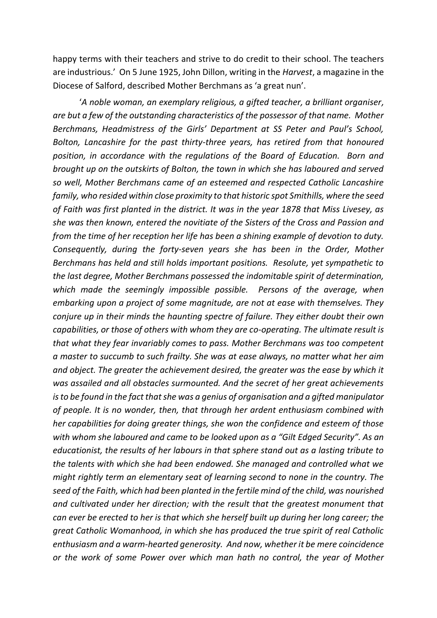happy terms with their teachers and strive to do credit to their school. The teachers are industrious.' On 5 June 1925, John Dillon, writing in the *Harvest*, a magazine in the Diocese of Salford, described Mother Berchmans as 'a great nun'.

'*A noble woman, an exemplary religious, a gifted teacher, a brilliant organiser, are but a few of the outstanding characteristics of the possessor of that name. Mother Berchmans, Headmistress of the Girls' Department at SS Peter and Paul's School, Bolton, Lancashire for the past thirty-three years, has retired from that honoured position, in accordance with the regulations of the Board of Education. Born and brought up on the outskirts of Bolton, the town in which she has laboured and served so well, Mother Berchmans came of an esteemed and respected Catholic Lancashire family, who resided within close proximity to that historic spot Smithills, where the seed of Faith was first planted in the district. It was in the year 1878 that Miss Livesey, as she was then known, entered the novitiate of the Sisters of the Cross and Passion and from the time of her reception her life has been a shining example of devotion to duty. Consequently, during the forty-seven years she has been in the Order, Mother Berchmans has held and still holds important positions. Resolute, yet sympathetic to the last degree, Mother Berchmans possessed the indomitable spirit of determination, which made the seemingly impossible possible. Persons of the average, when embarking upon a project of some magnitude, are not at ease with themselves. They conjure up in their minds the haunting spectre of failure. They either doubt their own capabilities, or those of others with whom they are co-operating. The ultimate result is that what they fear invariably comes to pass. Mother Berchmans was too competent a master to succumb to such frailty. She was at ease always, no matter what her aim and object. The greater the achievement desired, the greater was the ease by which it was assailed and all obstacles surmounted. And the secret of her great achievements is to be found in the fact that she was a genius of organisation and a gifted manipulator of people. It is no wonder, then, that through her ardent enthusiasm combined with her capabilities for doing greater things, she won the confidence and esteem of those with whom she laboured and came to be looked upon as a "Gilt Edged Security". As an educationist, the results of her labours in that sphere stand out as a lasting tribute to the talents with which she had been endowed. She managed and controlled what we might rightly term an elementary seat of learning second to none in the country. The seed of the Faith, which had been planted in the fertile mind of the child, was nourished and cultivated under her direction; with the result that the greatest monument that can ever be erected to her is that which she herself built up during her long career; the great Catholic Womanhood, in which she has produced the true spirit of real Catholic enthusiasm and a warm-hearted generosity. And now, whether it be mere coincidence or the work of some Power over which man hath no control, the year of Mother*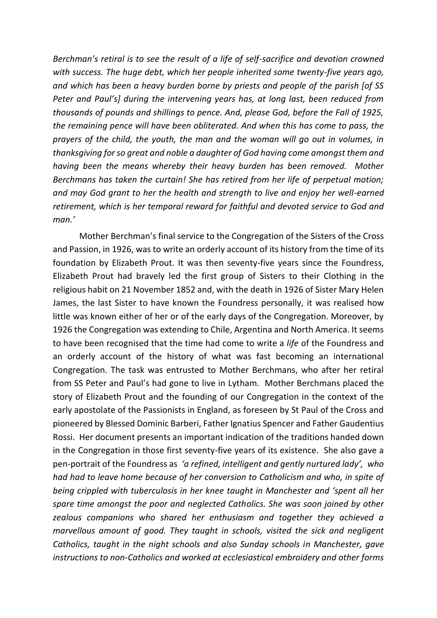*Berchman's retiral is to see the result of a life of self-sacrifice and devotion crowned with success. The huge debt, which her people inherited some twenty-five years ago, and which has been a heavy burden borne by priests and people of the parish [of SS Peter and Paul's] during the intervening years has, at long last, been reduced from thousands of pounds and shillings to pence. And, please God, before the Fall of 1925, the remaining pence will have been obliterated. And when this has come to pass, the prayers of the child, the youth, the man and the woman will go out in volumes, in thanksgiving for so great and noble a daughter of God having come amongst them and having been the means whereby their heavy burden has been removed. Mother Berchmans has taken the curtain! She has retired from her life of perpetual motion; and may God grant to her the health and strength to live and enjoy her well-earned retirement, which is her temporal reward for faithful and devoted service to God and man.'*

Mother Berchman's final service to the Congregation of the Sisters of the Cross and Passion, in 1926, was to write an orderly account of its history from the time of its foundation by Elizabeth Prout. It was then seventy-five years since the Foundress, Elizabeth Prout had bravely led the first group of Sisters to their Clothing in the religious habit on 21 November 1852 and, with the death in 1926 of Sister Mary Helen James, the last Sister to have known the Foundress personally, it was realised how little was known either of her or of the early days of the Congregation. Moreover, by 1926 the Congregation was extending to Chile, Argentina and North America. It seems to have been recognised that the time had come to write a *life* of the Foundress and an orderly account of the history of what was fast becoming an international Congregation. The task was entrusted to Mother Berchmans, who after her retiral from SS Peter and Paul's had gone to live in Lytham. Mother Berchmans placed the story of Elizabeth Prout and the founding of our Congregation in the context of the early apostolate of the Passionists in England, as foreseen by St Paul of the Cross and pioneered by Blessed Dominic Barberi, Father Ignatius Spencer and Father Gaudentius Rossi. Her document presents an important indication of the traditions handed down in the Congregation in those first seventy-five years of its existence. She also gave a pen-portrait of the Foundress as *'a refined, intelligent and gently nurtured lady', who had had to leave home because of her conversion to Catholicism and who, in spite of being crippled with tuberculosis in her knee taught in Manchester and 'spent all her spare time amongst the poor and neglected Catholics. She was soon joined by other zealous companions who shared her enthusiasm and together they achieved a marvellous amount of good. They taught in schools, visited the sick and negligent Catholics, taught in the night schools and also Sunday schools in Manchester, gave instructions to non-Catholics and worked at ecclesiastical embroidery and other forms*